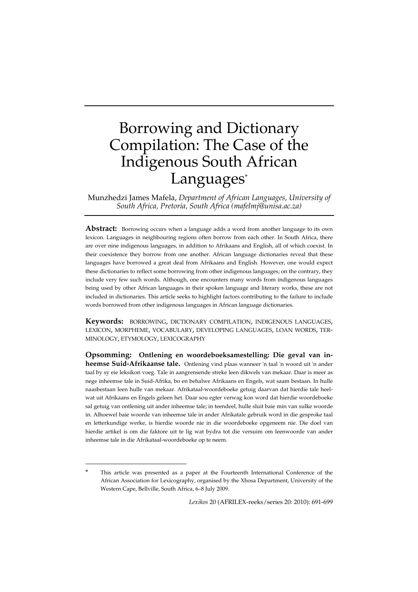# Borrowing and Dictionary Compilation: The Case of the Indigenous South African Languages\*

Munzhedzi James Mafela, *Department of African Languages, University of South Africa, Pretoria, South Africa (mafelmj@unisa.ac.za)*

**Abstract:** Borrowing occurs when a language adds a word from another language to its own lexicon. Languages in neighbouring regions often borrow from each other. In South Africa, there are over nine indigenous languages, in addition to Afrikaans and English, all of which coexist. In their coexistence they borrow from one another. African language dictionaries reveal that these languages have borrowed a great deal from Afrikaans and English. However, one would expect these dictionaries to reflect some borrowing from other indigenous languages; on the contrary, they include very few such words. Although, one encounters many words from indigenous languages being used by other African languages in their spoken language and literary works, these are not included in dictionaries. This article seeks to highlight factors contributing to the failure to include words borrowed from other indigenous languages in African language dictionaries.

**Keywords:** BORROWING, DICTIONARY COMPILATION, INDIGENOUS LANGUAGES, LEXICON, MORPHEME, VOCABULARY, DEVELOPING LANGUAGES, LOAN WORDS, TER-MINOLOGY, ETYMOLOGY, LEXICOGRAPHY

**Opsomming: Ontlening en woordeboeksamestelling: Die geval van inheemse Suid-Afrikaanse tale.** Ontlening vind plaas wanneer 'n taal 'n woord uit 'n ander taal by sy eie leksikon voeg. Tale in aangrensende streke leen dikwels van mekaar. Daar is meer as nege inheemse tale in Suid-Afrika, bo en behalwe Afrikaans en Engels, wat saam bestaan. In hulle naasbestaan leen hulle van mekaar. Afrikataal-woordeboeke getuig daarvan dat hierdie tale heelwat uit Afrikaans en Engels geleen het. Daar sou egter verwag kon word dat hierdie woordeboeke sal getuig van ontlening uit ander inheemse tale; in teendeel, hulle sluit baie min van sulke woorde in. Alhoewel baie woorde van inheemse tale in ander Afrikatale gebruik word in die gesproke taal en letterkundige werke, is hierdie woorde nie in die woordeboeke opgeneem nie. Die doel van hierdie artikel is om die faktore uit te lig wat bydra tot die versuim om leenwoorde van ander inheemse tale in die Afrikataal-woordeboeke op te neem.

 $\overline{a}$ 

*Lexikos* 20 (AFRILEX-reeks/series 20: 2010): 691-699

This article was presented as a paper at the Fourteenth International Conference of the African Association for Lexicography, organised by the Xhosa Department, University of the Western Cape, Bellville, South Africa, 6–8 July 2009.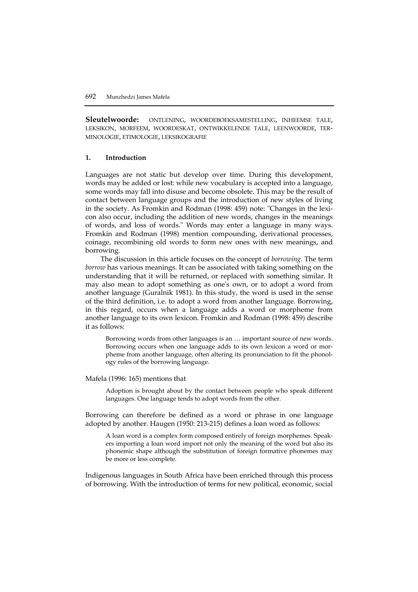**Sleutelwoorde:** ONTLENING, WOORDEBOEKSAMESTELLING, INHEEMSE TALE, LEKSIKON, MORFEEM, WOORDESKAT, ONTWIKKELENDE TALE, LEENWOORDE, TER-MINOLOGIE, ETIMOLOGIE, LEKSIKOGRAFIE

### **1. Introduction**

Languages are not static but develop over time. During this development, words may be added or lost: while new vocabulary is accepted into a language, some words may fall into disuse and become obsolete. This may be the result of contact between language groups and the introduction of new styles of living in the society. As Fromkin and Rodman (1998: 459) note: "Changes in the lexicon also occur, including the addition of new words, changes in the meanings of words, and loss of words." Words may enter a language in many ways. Fromkin and Rodman (1998) mention compounding, derivational processes, coinage, recombining old words to form new ones with new meanings, and borrowing.

The discussion in this article focuses on the concept of *borrowing.* The term *borrow* has various meanings. It can be associated with taking something on the understanding that it will be returned, or replaced with something similar. It may also mean to adopt something as one's own, or to adopt a word from another language (Guralnik 1981). In this study, the word is used in the sense of the third definition, i.e. to adopt a word from another language. Borrowing, in this regard, occurs when a language adds a word or morpheme from another language to its own lexicon. Fromkin and Rodman (1998: 459) describe it as follows:

Borrowing words from other languages is an … important source of new words. Borrowing occurs when one language adds to its own lexicon a word or morpheme from another language, often altering its pronunciation to fit the phonology rules of the borrowing language.

Mafela (1996: 165) mentions that

Adoption is brought about by the contact between people who speak different languages. One language tends to adopt words from the other.

Borrowing can therefore be defined as a word or phrase in one language adopted by another. Haugen (1950: 213-215) defines a loan word as follows:

A loan word is a complex form composed entirely of foreign morphemes. Speakers importing a loan word import not only the meaning of the word but also its phonemic shape although the substitution of foreign formative phonemes may be more or less complete.

Indigenous languages in South Africa have been enriched through this process of borrowing. With the introduction of terms for new political, economic, social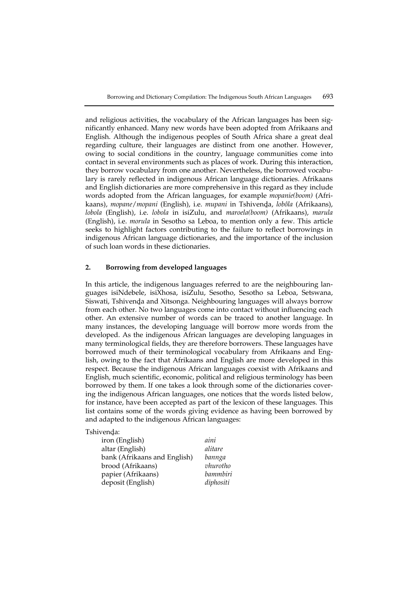and religious activities, the vocabulary of the African languages has been significantly enhanced. Many new words have been adopted from Afrikaans and English. Although the indigenous peoples of South Africa share a great deal regarding culture, their languages are distinct from one another. However, owing to social conditions in the country, language communities come into contact in several environments such as places of work. During this interaction, they borrow vocabulary from one another. Nevertheless, the borrowed vocabulary is rarely reflected in indigenous African language dictionaries. Afrikaans and English dictionaries are more comprehensive in this regard as they include words adopted from the African languages, for example *mopanie(boom)* (Afrikaans), *mopane*/*mopani* (English), i.e. *mupani* in Tshivenda, *lobôla* (Afrikaans), *lobola* (English), i.e. *lobola* in isiZulu, and *maroela(boom)* (Afrikaans), *marula* (English), i.e. *morula* in Sesotho sa Leboa, to mention only a few. This article seeks to highlight factors contributing to the failure to reflect borrowings in indigenous African language dictionaries, and the importance of the inclusion of such loan words in these dictionaries.

#### **2. Borrowing from developed languages**

In this article, the indigenous languages referred to are the neighbouring languages isiNdebele, isiXhosa, isiZulu, Sesotho, Sesotho sa Leboa, Setswana, Siswati, Tshivenda and Xitsonga. Neighbouring languages will always borrow from each other. No two languages come into contact without influencing each other. An extensive number of words can be traced to another language. In many instances, the developing language will borrow more words from the developed. As the indigenous African languages are developing languages in many terminological fields, they are therefore borrowers. These languages have borrowed much of their terminological vocabulary from Afrikaans and English, owing to the fact that Afrikaans and English are more developed in this respect. Because the indigenous African languages coexist with Afrikaans and English, much scientific, economic, political and religious terminology has been borrowed by them. If one takes a look through some of the dictionaries covering the indigenous African languages, one notices that the words listed below, for instance, have been accepted as part of the lexicon of these languages. This list contains some of the words giving evidence as having been borrowed by and adapted to the indigenous African languages:

#### Tshivenda:

| iron (English)               | aini      |
|------------------------------|-----------|
| altar (English)              | alitare   |
| bank (Afrikaans and English) | bannga    |
| brood (Afrikaans)            | vhurotho  |
| papier (Afrikaans)           | bammbiri  |
| deposit (English)            | diphositi |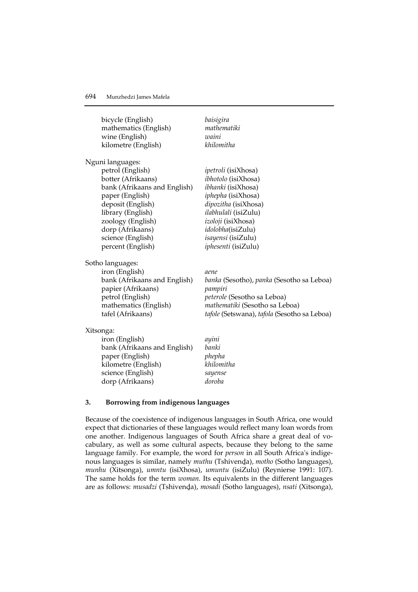|           | bicycle (English)<br>mathematics (English)<br>wine (English)<br>kilometre (English)                                                                                                                                                        | baisigira<br>mathematiki<br>waini<br>khilomitha                                                                                                                                                                                                            |
|-----------|--------------------------------------------------------------------------------------------------------------------------------------------------------------------------------------------------------------------------------------------|------------------------------------------------------------------------------------------------------------------------------------------------------------------------------------------------------------------------------------------------------------|
|           | Nguni languages:<br>petrol (English)<br>botter (Afrikaans)<br>bank (Afrikaans and English)<br>paper (English)<br>deposit (English)<br>library (English)<br>zoology (English)<br>dorp (Afrikaans)<br>science (English)<br>percent (English) | <i>ipetroli</i> (isiXhosa)<br>ibhotolo (isiXhosa)<br><i>ibhanki</i> (isiXhosa)<br><i>iphepha</i> (isiXhosa)<br>dipozitha (isiXhosa)<br>ilabhulali (isiZulu)<br>izoloji (isiXhosa)<br>idolobha(isiZulu)<br><i>isayensi</i> (isiZulu)<br>iphesenti (isiZulu) |
|           | Sotho languages:<br>iron (English)<br>bank (Afrikaans and English)<br>papier (Afrikaans)<br>petrol (English)<br>mathematics (English)<br>tafel (Afrikaans)                                                                                 | aene<br>banka (Sesotho), panka (Sesotho sa Leboa)<br>pampiri<br>peterole (Sesotho sa Leboa)<br>mathematiki (Sesotho sa Leboa)<br>tafole (Setswana), tafola (Sesotho sa Leboa)                                                                              |
| Xitsonga: | iron (English)<br>bank (Afrikaans and English)<br>paper (English)<br>kilometre (English)<br>science (English)                                                                                                                              | ayini<br>banki<br>phepha<br>khilomitha<br>sayense                                                                                                                                                                                                          |

#### **3. Borrowing from indigenous languages**

dorp (Afrikaans) *doroba*

Because of the coexistence of indigenous languages in South Africa, one would expect that dictionaries of these languages would reflect many loan words from one another. Indigenous languages of South Africa share a great deal of vocabulary, as well as some cultural aspects, because they belong to the same language family. For example, the word for *person* in all South Africa's indigenous languages is similar, namely *muthu* (Tshivenda), *motho* (Sotho languages), *munhu* (Xitsonga), *umntu* (isiXhosa), *umuntu* (isiZulu) (Reynierse 1991: 107). The same holds for the term *woman.* Its equivalents in the different languages are as follows: *musadzi* (Tshivend√a), *mosadi* (Sotho languages), *nsati* (Xitsonga),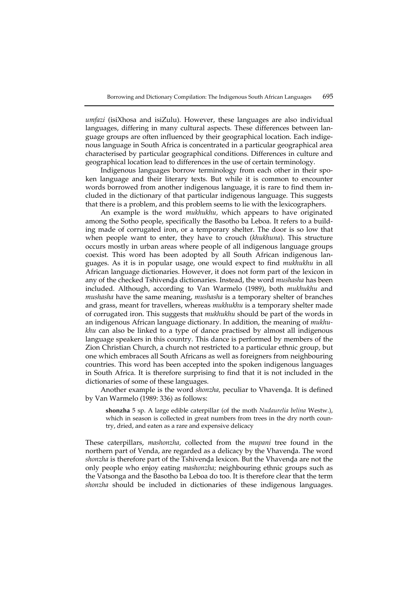*umfazi* (isiXhosa and isiZulu). However, these languages are also individual languages, differing in many cultural aspects. These differences between language groups are often influenced by their geographical location. Each indigenous language in South Africa is concentrated in a particular geographical area characterised by particular geographical conditions. Differences in culture and geographical location lead to differences in the use of certain terminology.

Indigenous languages borrow terminology from each other in their spoken language and their literary texts. But while it is common to encounter words borrowed from another indigenous language, it is rare to find them included in the dictionary of that particular indigenous language. This suggests that there is a problem, and this problem seems to lie with the lexicographers.

An example is the word *mukhukhu,* which appears to have originated among the Sotho people, specifically the Basotho ba Leboa. It refers to a building made of corrugated iron, or a temporary shelter. The door is so low that when people want to enter, they have to crouch (*khukhuna*). This structure occurs mostly in urban areas where people of all indigenous language groups coexist. This word has been adopted by all South African indigenous languages. As it is in popular usage, one would expect to find *mukhukhu* in all African language dictionaries. However, it does not form part of the lexicon in any of the checked Tshivenda dictionaries. Instead, the word *mushasha* has been included. Although, according to Van Warmelo (1989), both *mukhukhu* and *mushasha* have the same meaning, *mushasha* is a temporary shelter of branches and grass, meant for travellers, whereas *mukhukhu* is a temporary shelter made of corrugated iron. This suggests that *mukhukhu* should be part of the words in an indigenous African language dictionary. In addition, the meaning of *mukhukhu* can also be linked to a type of dance practised by almost all indigenous language speakers in this country. This dance is performed by members of the Zion Christian Church, a church not restricted to a particular ethnic group, but one which embraces all South Africans as well as foreigners from neighbouring countries. This word has been accepted into the spoken indigenous languages in South Africa. It is therefore surprising to find that it is not included in the dictionaries of some of these languages.

Another example is the word *shonzha*, peculiar to Vhavenda. It is defined by Van Warmelo (1989: 336) as follows:

**shonzha** 5 sp. A large edible caterpillar (of the moth *Nudaurelia belina* Westw.), which in season is collected in great numbers from trees in the dry north country, dried, and eaten as a rare and expensive delicacy

These caterpillars, *mashonzha,* collected from the *mupani* tree found in the northern part of Venda, are regarded as a delicacy by the Vhavenda. The word *shonzha* is therefore part of the Tshivenda lexicon. But the Vhavenda are not the only people who enjoy eating *mashonzha;* neighbouring ethnic groups such as the Vatsonga and the Basotho ba Leboa do too. It is therefore clear that the term *shonzha* should be included in dictionaries of these indigenous languages.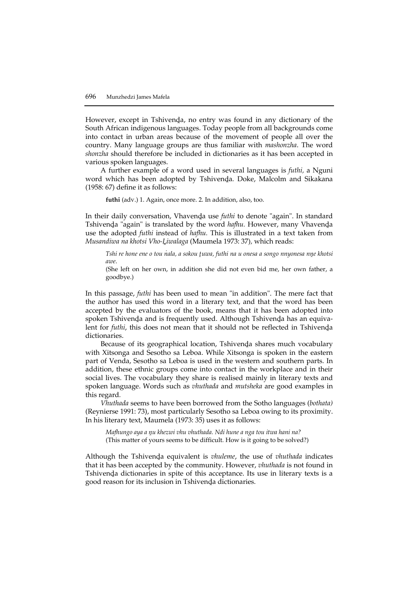However, except in Tshivenda, no entry was found in any dictionary of the South African indigenous languages. Today people from all backgrounds come into contact in urban areas because of the movement of people all over the country. Many language groups are thus familiar with *mashonzha*. The word *shonzha* should therefore be included in dictionaries as it has been accepted in various spoken languages.

A further example of a word used in several languages is *futhi,* a Nguni word which has been adopted by Tshivenda. Doke, Malcolm and Sikakana (1958: 67) define it as follows:

**futhi** (adv.) 1. Again, once more. 2. In addition, also, too.

In their daily conversation, Vhavenda use *futhi* to denote "again". In standard Tshivenda "again" is translated by the word *hafhu*. However, many Vhavenda use the adopted *futhi* instead of *hafhu.* This is illustrated in a text taken from *Musandiwa na khotsi Vho-L*√*iwalaga* (Maumela 1973: 37)*,* which reads:

*Tshi re hone ene o tou n®ala, a sokou t√uwa, futhi na u onesa a songo nnyonesa nn√e khotsi awe*.

(She left on her own, in addition she did not even bid me, her own father, a goodbye.)

In this passage, *futhi* has been used to mean "in addition". The mere fact that the author has used this word in a literary text, and that the word has been accepted by the evaluators of the book, means that it has been adopted into spoken Tshivenda and is frequently used. Although Tshivenda has an equivalent for *futhi*, this does not mean that it should not be reflected in Tshivenda dictionaries.

Because of its geographical location, Tshivenda shares much vocabulary with Xitsonga and Sesotho sa Leboa. While Xitsonga is spoken in the eastern part of Venda, Sesotho sa Leboa is used in the western and southern parts. In addition, these ethnic groups come into contact in the workplace and in their social lives. The vocabulary they share is realised mainly in literary texts and spoken language. Words such as *vhuthada* and *mutsheka* are good examples in this regard*.* 

*Vhuthada* seems to have been borrowed from the Sotho languages (*bothata)*  (Reynierse 1991: 73), most particularly Sesotho sa Leboa owing to its proximity. In his literary text, Maumela (1973: 35) uses it as follows:

*Mafhungo aya a n√u khezwi vhu vhuthada. Ndi hune a nga tou itwa hani na?*  (This matter of yours seems to be difficult. How is it going to be solved?)

Although the Tshivenda equivalent is *vhuleme*, the use of *vhuthada* indicates that it has been accepted by the community. However, *vhuthada* is not found in Tshivenda dictionaries in spite of this acceptance. Its use in literary texts is a good reason for its inclusion in Tshivenda dictionaries.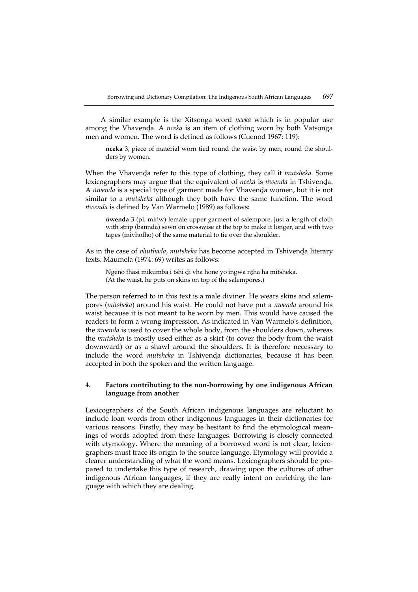A similar example is the Xitsonga word *nceka* which is in popular use among the Vhavenda. A *nceka* is an item of clothing worn by both Vatsonga men and women. The word is defined as follows (Cuenod 1967: 119):

**nceka** 3, piece of material worn tied round the waist by men, round the shoulders by women.

When the Vhavenda refer to this type of clothing, they call it *mutsheka*. Some lexicographers may argue that the equivalent of *nceka* is *nwenda* in Tshivenda. A *n*wenda is a special type of garment made for Vhavenda women, but it is not similar to a *mutsheka* although they both have the same function. The word *næwenda* is defined by Van Warmelo (1989) as follows:

**nwenda** 3 (pl. minw) female upper garment of salempore, just a length of cloth with strip (bannda) sewn on crosswise at the top to make it longer, and with two tapes (mivhofho) of the same material to tie over the shoulder.

As in the case of *vhuthada*, *mutsheka* has become accepted in Tshivenda literary texts. Maumela (1974: 69) writes as follows:

Ngeno fhasi mikumba i tshi di vha hone yo ingwa ntha ha mitsheka. (At the waist, he puts on skins on top of the salempores.)

The person referred to in this text is a male diviner. He wears skins and salempores (*mitsheka*) around his waist. He could not have put a *næwenda* around his waist because it is not meant to be worn by men. This would have caused the readers to form a wrong impression. As indicated in Van Warmelo's definition, the *næwenda* is used to cover the whole body, from the shoulders down, whereas the *mutsheka* is mostly used either as a skirt (to cover the body from the waist downward) or as a shawl around the shoulders. It is therefore necessary to include the word *mutsheka* in Tshivenda dictionaries, because it has been accepted in both the spoken and the written language.

## **4. Factors contributing to the non-borrowing by one indigenous African language from another**

Lexicographers of the South African indigenous languages are reluctant to include loan words from other indigenous languages in their dictionaries for various reasons. Firstly, they may be hesitant to find the etymological meanings of words adopted from these languages. Borrowing is closely connected with etymology. Where the meaning of a borrowed word is not clear, lexicographers must trace its origin to the source language. Etymology will provide a clearer understanding of what the word means. Lexicographers should be prepared to undertake this type of research, drawing upon the cultures of other indigenous African languages, if they are really intent on enriching the language with which they are dealing.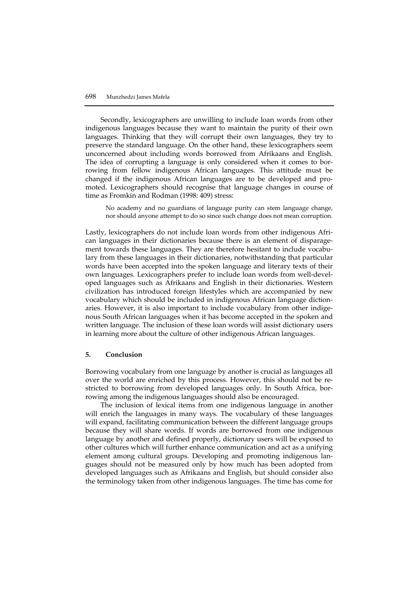Secondly, lexicographers are unwilling to include loan words from other indigenous languages because they want to maintain the purity of their own languages. Thinking that they will corrupt their own languages, they try to preserve the standard language. On the other hand, these lexicographers seem unconcerned about including words borrowed from Afrikaans and English. The idea of corrupting a language is only considered when it comes to borrowing from fellow indigenous African languages. This attitude must be changed if the indigenous African languages are to be developed and promoted. Lexicographers should recognise that language changes in course of time as Fromkin and Rodman (1998: 409) stress:

No academy and no guardians of language purity can stem language change, nor should anyone attempt to do so since such change does not mean corruption.

Lastly, lexicographers do not include loan words from other indigenous African languages in their dictionaries because there is an element of disparagement towards these languages. They are therefore hesitant to include vocabulary from these languages in their dictionaries, notwithstanding that particular words have been accepted into the spoken language and literary texts of their own languages. Lexicographers prefer to include loan words from well-developed languages such as Afrikaans and English in their dictionaries. Western civilization has introduced foreign lifestyles which are accompanied by new vocabulary which should be included in indigenous African language dictionaries. However, it is also important to include vocabulary from other indigenous South African languages when it has become accepted in the spoken and written language. The inclusion of these loan words will assist dictionary users in learning more about the culture of other indigenous African languages.

## **5. Conclusion**

Borrowing vocabulary from one language by another is crucial as languages all over the world are enriched by this process. However, this should not be restricted to borrowing from developed languages only. In South Africa, borrowing among the indigenous languages should also be encouraged.

The inclusion of lexical items from one indigenous language in another will enrich the languages in many ways. The vocabulary of these languages will expand, facilitating communication between the different language groups because they will share words. If words are borrowed from one indigenous language by another and defined properly, dictionary users will be exposed to other cultures which will further enhance communication and act as a unifying element among cultural groups. Developing and promoting indigenous languages should not be measured only by how much has been adopted from developed languages such as Afrikaans and English, but should consider also the terminology taken from other indigenous languages. The time has come for